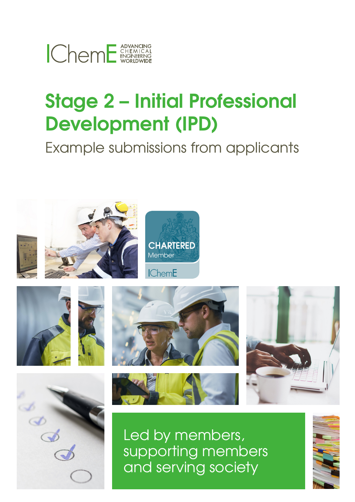

# **Stage 2 – Initial Professional Development (IPD)**

Example submissions from applicants







Led by members, supporting members and serving society

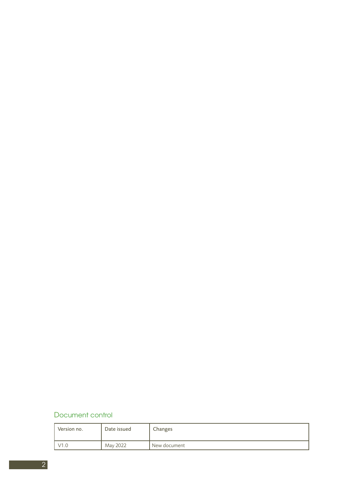### Document control

| Version no. | Date issued | Changes      |
|-------------|-------------|--------------|
|             | May 2022    | New document |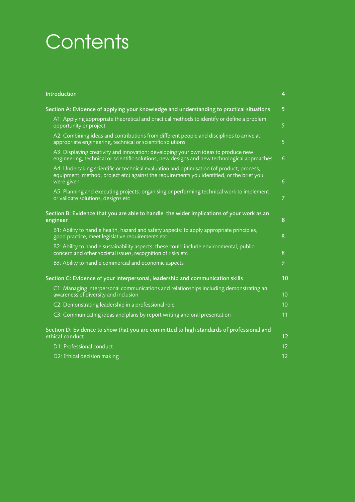# **Contents**

| Introduction                                                                                                                                                                                         | $\overline{4}$ |  |
|------------------------------------------------------------------------------------------------------------------------------------------------------------------------------------------------------|----------------|--|
| Section A: Evidence of applying your knowledge and understanding to practical situations                                                                                                             |                |  |
| A1: Applying appropriate theoretical and practical methods to identify or define a problem,<br>opportunity or project                                                                                |                |  |
| A2: Combining ideas and contributions from different people and disciplines to arrive at<br>appropriate engineering, technical or scientific solutions                                               | 5              |  |
| A3: Displaying creativity and innovation: developing your own ideas to produce new<br>engineering, technical or scientific solutions, new designs and new technological approaches                   | $\overline{6}$ |  |
| A4: Undertaking scientific or technical evaluation and optimisation (of product, process,<br>equipment, method, project etc) against the requirements you identified, or the brief you<br>were given | 6              |  |
| A5: Planning and executing projects: organising or performing technical work to implement<br>or validate solutions, designs etc                                                                      | $\overline{7}$ |  |
| Section B: Evidence that you are able to handle the wider implications of your work as an<br>engineer                                                                                                |                |  |
| B1: Ability to handle health, hazard and safety aspects: to apply appropriate principles,<br>good practice, meet legislative requirements etc                                                        | 8              |  |
| B2: Ability to handle sustainability aspects; these could include environmental, public<br>concern and other societal issues, recognition of risks etc                                               | 8              |  |
| B3: Ability to handle commercial and economic aspects                                                                                                                                                | 9              |  |
| Section C: Evidence of your interpersonal, leadership and communication skills                                                                                                                       | 10             |  |
| C1: Managing interpersonal communications and relationships including demonstrating an<br>awareness of diversity and inclusion                                                                       | 10             |  |
| C2: Demonstrating leadership in a professional role                                                                                                                                                  | 10             |  |
| C3: Communicating ideas and plans by report writing and oral presentation                                                                                                                            | 11             |  |
| Section D: Evidence to show that you are committed to high standards of professional and<br>ethical conduct                                                                                          |                |  |
| D1: Professional conduct                                                                                                                                                                             |                |  |
| D2: Ethical decision making                                                                                                                                                                          | 12             |  |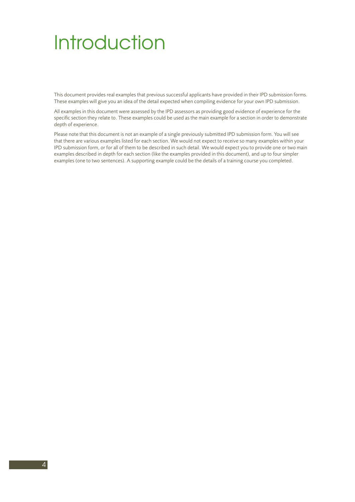# **Introduction**

This document provides real examples that previous successful applicants have provided in their IPD submission forms. These examples will give you an idea of the detail expected when compiling evidence for your own IPD submission.

All examples in this document were assessed by the IPD assessors as providing good evidence of experience for the specific section they relate to. These examples could be used as the main example for a section in order to demonstrate depth of experience.

Please note that this document is not an example of a single previously submitted IPD submission form. You will see that there are various examples listed for each section. We would not expect to receive so many examples within your IPD submission form, or for all of them to be described in such detail. We would expect you to provide one or two main examples described in depth for each section (like the examples provided in this document), and up to four simpler examples (one to two sentences). A supporting example could be the details of a training course you completed.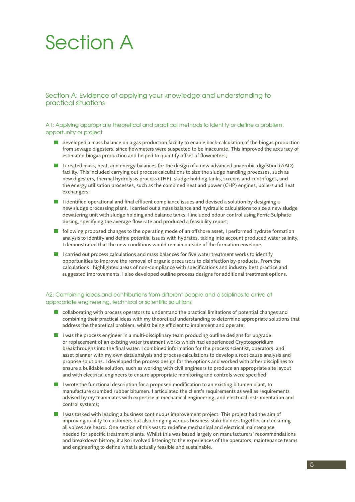# Section A

Section A: Evidence of applying your knowledge and understanding to practical situations

### A1: Applying appropriate theoretical and practical methods to identify or define a problem, opportunity or project

- $\blacksquare$  developed a mass balance on a gas production facility to enable back-calculation of the biogas production from sewage digesters, since flowmeters were suspected to be inaccurate. This improved the accuracy of estimated biogas production and helped to quantify offset of flowmeters;
- I created mass, heat, and energy balances for the design of a new advanced anaerobic digestion (AAD) facility. This included carrying out process calculations to size the sludge handling processes, such as new digesters, thermal hydrolysis process (THP), sludge holding tanks, screens and centrifuges, and the energy utilisation processes, such as the combined heat and power (CHP) engines, boilers and heat exchangers;
- $\blacksquare$  I identified operational and final effluent compliance issues and devised a solution by designing a new sludge processing plant. I carried out a mass balance and hydraulic calculations to size a new sludge dewatering unit with sludge holding and balance tanks. I included odour control using Ferric Sulphate dosing, specifying the average flow rate and produced a feasibility report;
- following proposed changes to the operating mode of an offshore asset, I performed hydrate formation analysis to identify and define potential issues with hydrates, taking into account produced water salinity. I demonstrated that the new conditions would remain outside of the formation envelope;
- $\blacksquare$  I carried out process calculations and mass balances for five water treatment works to identify opportunities to improve the removal of organic precursors to disinfection by-products. From the calculations I highlighted areas of non-compliance with specifications and industry best practice and suggested improvements. I also developed outline process designs for additional treatment options.

### A2: Combining ideas and contributions from different people and disciplines to arrive at appropriate engineering, technical or scientific solutiions

- n collaborating with process operators to understand the practical limitations of potential changes and combining their practical ideas with my theoretical understanding to determine appropriate solutions that address the theoretical problem, whilst being efficient to implement and operate;
- **n** I was the process engineer in a multi-disciplinary team producing outline designs for upgrade or replacement of an existing water treatment works which had experienced Cryptosporidium breakthroughs into the final water. I combined information for the process scientist, operators, and asset planner with my own data analysis and process calculations to develop a root cause analysis and propose solutions. I developed the process design for the options and worked with other disciplines to ensure a buildable solution, such as working with civil engineers to produce an appropriate site layout and with electrical engineers to ensure appropriate monitoring and controls were specified;
- $\blacksquare$  I wrote the functional description for a proposed modification to an existing bitumen plant, to manufacture crumbed rubber bitumen. I articulated the client's requirements as well as requirements advised by my teammates with expertise in mechanical engineering, and electrical instrumentation and control systems;
- $\blacksquare$  I was tasked with leading a business continuous improvement project. This project had the aim of improving quality to customers but also bringing various business stakeholders together and ensuring all voices are heard. One section of this was to redefine mechanical and electrical maintenance needed for specific treatment plants. Whilst this was based largely on manufacturers' recommendations and breakdown history, it also involved listening to the experiences of the operators, maintenance teams and engineering to define what is actually feasible and sustainable.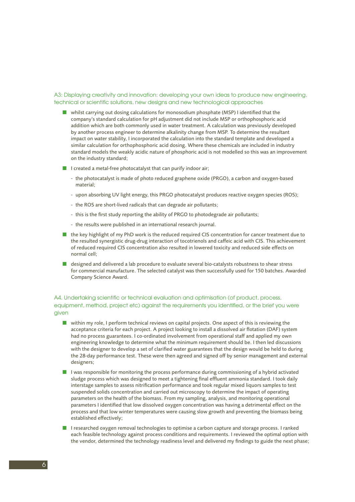### A3: Displaying creativity and innovation: developing your own ideas to produce new engineering, technical or scientific solutions, new designs and new technological approaches

- $\blacksquare$  whilst carrying out dosing calculations for monosodium phosphate (MSP) I identified that the company's standard calculation for pH adjustment did not include MSP or orthophosphoric acid addition which are both commonly used in water treatment. A calculation was previously developed by another process engineer to determine alkalinity change from MSP. To determine the resultant impact on water stability, I incorporated the calculation into the standard template and developed a similar calculation for orthophosphoric acid dosing. Where these chemicals are included in industry standard models the weakly acidic nature of phosphoric acid is not modelled so this was an improvement on the industry standard;
- $\blacksquare$  I created a metal-free photocatalyst that can purify indoor air;
	- the photocatalyst is made of photo reduced graphene oxide (PRGO), a carbon and oxygen-based material;
	- upon absorbing UV light energy, this PRGO photocatalyst produces reactive oxygen species (ROS);
	- the ROS are short-lived radicals that can degrade air pollutants;
	- this is the first study reporting the ability of PRGO to photodegrade air pollutants;
	- the results were published in an international research journal.
- the key highlight of my PhD work is the reduced required CIS concentration for cancer treatment due to the resulted synergistic drug-drug interaction of tocotrienols and caffeic acid with CIS. This achievement of reduced required CIS concentration also resulted in lowered toxicity and reduced side effects on normal cell;
- designed and delivered a lab procedure to evaluate several bio-catalysts robustness to shear stress for commercial manufacture. The selected catalyst was then successfully used for 150 batches. Awarded Company Science Award.

### A4. Undertaking scientific or technical evaluation and optimisation (of product, process, equipment, method, project etc) against the requirements you identified, or the brief you were given

- n within my role, I perform technical reviews on capital projects. One aspect of this is reviewing the acceptance criteria for each project. A project looking to install a dissolved air flotation (DAF) system had no process guarantees. I co-ordinated involvement from operational staff and applied my own engineering knowledge to determine what the minimum requirement should be. I then led discussions with the designer to develop a set of clarified water guarantees that the design would be held to during the 28-day performance test. These were then agreed and signed off by senior management and external designers;
- **n** I was responsible for monitoring the process performance during commissioning of a hybrid activated sludge process which was designed to meet a tightening final effluent ammonia standard. I took daily interstage samples to assess nitrification performance and took regular mixed liquors samples to test suspended solids concentration and carried out microscopy to determine the impact of operating parameters on the health of the biomass. From my sampling, analysis, and monitoring operational parameters I identified that low dissolved oxygen concentration was having a detrimental effect on the process and that low winter temperatures were causing slow growth and preventing the biomass being established effectively;
- **n** I researched oxygen removal technologies to optimise a carbon capture and storage process. I ranked each feasible technology against process conditions and requirements. I reviewed the optimal option with the vendor, determined the technology readiness level and delivered my findings to guide the next phase;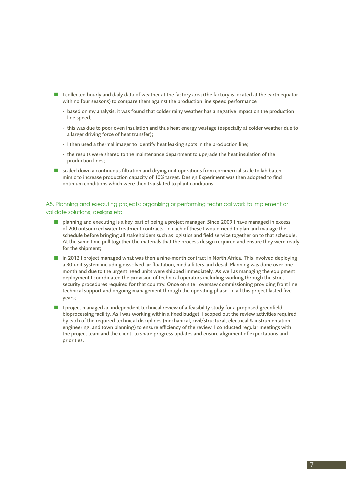- I I collected hourly and daily data of weather at the factory area (the factory is located at the earth equator with no four seasons) to compare them against the production line speed performance
	- based on my analysis, it was found that colder rainy weather has a negative impact on the production line speed;
	- this was due to poor oven insulation and thus heat energy wastage (especially at colder weather due to a larger driving force of heat transfer);
	- I then used a thermal imager to identify heat leaking spots in the production line;
	- the results were shared to the maintenance department to upgrade the heat insulation of the production lines;
- scaled down a continuous filtration and drying unit operations from commercial scale to lab batch mimic to increase production capacity of 10% target. Design Experiment was then adopted to find optimum conditions which were then translated to plant conditions.

### A5. Planning and executing projects: organising or performing technical work to implement or validate solutions, designs etc

- **n** planning and executing is a key part of being a project manager. Since 2009 I have managed in excess of 200 outsourced water treatment contracts. In each of these I would need to plan and manage the schedule before bringing all stakeholders such as logistics and field service together on to that schedule. At the same time pull together the materials that the process design required and ensure they were ready for the shipment;
- $\blacksquare$  in 2012 I project managed what was then a nine-month contract in North Africa. This involved deploying a 30-unit system including dissolved air floatation, media filters and desal. Planning was done over one month and due to the urgent need units were shipped immediately. As well as managing the equipment deployment I coordinated the provision of technical operators including working through the strict security procedures required for that country. Once on site I oversaw commissioning providing front line technical support and ongoing management through the operating phase. In all this project lasted five years;
- **n** I project managed an independent technical review of a feasibility study for a proposed greenfield bioprocessing facility. As I was working within a fixed budget, I scoped out the review activities required by each of the required technical disciplines (mechanical, civil/structural, electrical & instrumentation engineering, and town planning) to ensure efficiency of the review. I conducted regular meetings with the project team and the client, to share progress updates and ensure alignment of expectations and priorities.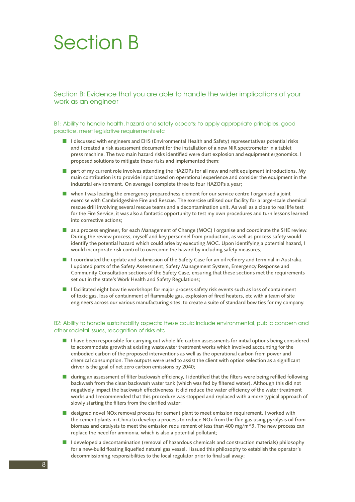Section B: Evidence that you are able to handle the wider implications of your work as an engineer

B1: Ability to handle health, hazard and safety aspects: to apply appropriate principles, good practice, meet legislative requirements etc

- I discussed with engineers and EHS (Environmental Health and Safety) representatives potential risks and I created a risk assessment document for the installation of a new NIR spectrometer in a tablet press machine. The two main hazard risks identified were dust explosion and equipment ergonomics. I proposed solutions to mitigate these risks and implemented them;
- n part of my current role involves attending the HAZOPs for all new and refit equipment introductions. My main contribution is to provide input based on operational experience and consider the equipment in the industrial environment. On average I complete three to four HAZOPs a year;
- $\blacksquare$  when I was leading the emergency preparedness element for our service centre I organised a joint exercise with Cambridgeshire Fire and Rescue. The exercise utilised our facility for a large-scale chemical rescue drill involving several rescue teams and a decontamination unit. As well as a close to real life test for the Fire Service, it was also a fantastic opportunity to test my own procedures and turn lessons learned into corrective actions;
- as a process engineer, for each Management of Change (MOC) I organise and coordinate the SHE review. During the review process, myself and key personnel from production, as well as process safety would identify the potential hazard which could arise by executing MOC. Upon identifying a potential hazard, I would incorporate risk control to overcome the hazard by including safety measures;
- $\blacksquare$  I coordinated the update and submission of the Safety Case for an oil refinery and terminal in Australia. I updated parts of the Safety Assessment, Safety Management System, Emergency Response and Community Consultation sections of the Safety Case, ensuring that these sections met the requirements set out in the state's Work Health and Safety Regulations;
- $\blacksquare$  I facilitated eight bow tie workshops for major process safety risk events such as loss of containment of toxic gas, loss of containment of flammable gas, explosion of fired heaters, etc with a team of site engineers across our various manufacturing sites, to create a suite of standard bow ties for my company.

### B2: Ability to handle sustainability aspects: these could include environmental, public concern and other societal issues, recognition of risks etc

- **n** I have been responsible for carrying out whole life carbon assessments for initial options being considered to accommodate growth at existing wastewater treatment works which involved accounting for the embodied carbon of the proposed interventions as well as the operational carbon from power and chemical consumption. The outputs were used to assist the client with option selection as a significant driver is the goal of net zero carbon emissions by 2040;
- $\blacksquare$  during an assessment of filter backwash efficiency, I identified that the filters were being refilled following backwash from the clean backwash water tank (which was fed by filtered water). Although this did not negatively impact the backwash effectiveness, it did reduce the water efficiency of the water treatment works and I recommended that this procedure was stopped and replaced with a more typical approach of slowly starting the filters from the clarified water; Section B: Evidence that year that year that also section B: Evidence that year procedure. B<br>B: Ability to handle health, hazd procedure and the distance is a real and the distance of the distance and the distance and the
	- designed novel NOx removal process for cement plant to meet emission requirement. I worked with the cement plants in China to develop a process to reduce NOx from the flue gas using pyrolysis oil from biomass and catalysts to meet the emission requirement of less than 400 mg/m^3. The new process can replace the need for ammonia, which is also a potential pollutant;
	- n I developed a decontamination (removal of hazardous chemicals and construction materials) philosophy for a new-build floating liquefied natural gas vessel. I issued this philosophy to establish the operator's decommissioning responsibilities to the local regulator prior to final sail away;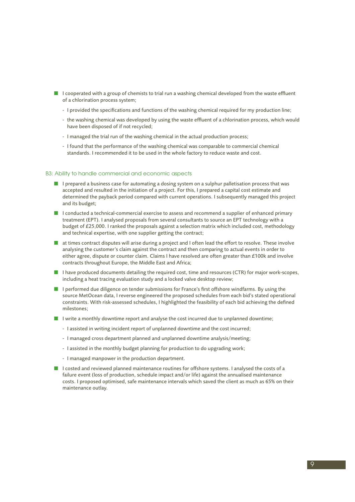- $\blacksquare$  I cooperated with a group of chemists to trial run a washing chemical developed from the waste effluent of a chlorination process system;
	- I provided the specifications and functions of the washing chemical required for my production line;
	- the washing chemical was developed by using the waste effluent of a chlorination process, which would have been disposed of if not recycled;
	- I managed the trial run of the washing chemical in the actual production process;
	- I found that the performance of the washing chemical was comparable to commercial chemical standards. I recommended it to be used in the whole factory to reduce waste and cost.

### B3: Ability to handle commercial and economic aspects

- **n** I prepared a business case for automating a dosing system on a sulphur palletisation process that was accepted and resulted in the initiation of a project. For this, I prepared a capital cost estimate and determined the payback period compared with current operations. I subsequently managed this project and its budget;
- **n** I conducted a technical-commercial exercise to assess and recommend a supplier of enhanced primary treatment (EPT). I analysed proposals from several consultants to source an EPT technology with a budget of £25,000. I ranked the proposals against a selection matrix which included cost, methodology and technical expertise, with one supplier getting the contract;
- $\blacksquare$  at times contract disputes will arise during a project and I often lead the effort to resolve. These involve analysing the customer's claim against the contract and then comparing to actual events in order to either agree, dispute or counter claim. Claims I have resolved are often greater than £100k and involve contracts throughout Europe, the Middle East and Africa;
- $\blacksquare$  I have produced documents detailing the required cost, time and resources (CTR) for major work-scopes, including a heat tracing evaluation study and a locked valve desktop review;
- **n** I performed due diligence on tender submissions for France's first offshore windfarms. By using the source MetOcean data, I reverse engineered the proposed schedules from each bid's stated operational constraints. With risk-assessed schedules, I highlighted the feasibility of each bid achieving the defined milestones;
- **n** I write a monthly downtime report and analyse the cost incurred due to unplanned downtime;
	- I assisted in writing incident report of unplanned downtime and the cost incurred;
	- I managed cross department planned and unplanned downtime analysis/meeting;
	- I assisted in the monthly budget planning for production to do upgrading work;
	- I managed manpower in the production department.
- I costed and reviewed planned maintenance routines for offshore systems. I analysed the costs of a failure event (loss of production, schedule impact and/or life) against the annualised maintenance costs. I proposed optimised, safe maintenance intervals which saved the client as much as 65% on their maintenance outlay.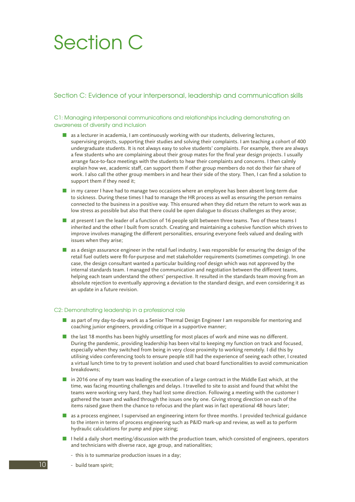# Section C

### Section C: Evidence of your interpersonal, leadership and communication skills

### C1: Managing interpersonal communications and relationships including demonstrating an awareness of diversity and inclusion

- $\blacksquare$  as a lecturer in academia, I am continuously working with our students, delivering lectures, supervising projects, supporting their studies and solving their complaints. I am teaching a cohort of 400 undergraduate students. It is not always easy to solve students' complaints. For example, there are always a few students who are complaining about their group mates for the final year design projects. I usually arrange face-to-face meetings with the students to hear their complaints and concerns. I then calmly explain how we, academic staff, can support them if other group members do not do their fair share of work. I also call the other group members in and hear their side of the story. Then, I can find a solution to support them if they need it;
- **n** in my career I have had to manage two occasions where an employee has been absent long-term due to sickness. During these times I had to manage the HR process as well as ensuring the person remains connected to the business in a positive way. This ensured when they did return the return to work was as low stress as possible but also that there could be open dialogue to discuss challenges as they arose;
- $\blacksquare$  at present I am the leader of a function of 16 people split between three teams. Two of these teams I inherited and the other I built from scratch. Creating and maintaining a cohesive function which strives to improve involves managing the different personalities, ensuring everyone feels valued and dealing with issues when they arise;
- $\blacksquare$  as a design assurance engineer in the retail fuel industry, I was responsible for ensuring the design of the retail fuel outlets were fit-for-purpose and met stakeholder requirements (sometimes competing). In one case, the design consultant wanted a particular building roof design which was not approved by the internal standards team. I managed the communication and negotiation between the different teams, helping each team understand the others' perspective. It resulted in the standards team moving from an absolute rejection to eventually approving a deviation to the standard design, and even considering it as an update in a future revision.

### C2: Demonstrating leadership in a professional role

- **n** as part of my day-to-day work as a Senior Thermal Design Engineer I am responsible for mentoring and coaching junior engineers, providing critique in a supportive manner;
- $\blacksquare$  the last 18 months has been highly unsettling for most places of work and mine was no different. During the pandemic, providing leadership has been vital to keeping my function on track and focused, especially when they switched from being in very close proximity to working remotely. I did this by utilising video conferencing tools to ensure people still had the experience of seeing each other, I created a virtual lunch time to try to prevent isolation and used chat board functionalities to avoid communication breakdowns;
- n in 2016 one of my team was leading the execution of a large contract in the Middle East which, at the time, was facing mounting challenges and delays. I travelled to site to assist and found that whilst the teams were working very hard, they had lost some direction. Following a meeting with the customer I gathered the team and walked through the issues one by one. Giving strong direction on each of the items raised gave them the chance to refocus and the plant was in fact operational 48 hours later;
- $\blacksquare$  as a process engineer, I supervised an engineering intern for three months. I provided technical guidance to the intern in terms of process engineering such as P&ID mark-up and review, as well as to perform hydraulic calculations for pump and pipe sizing;
- $\blacksquare$  I held a daily short meeting/discussion with the production team, which consisted of engineers, operators and technicians with diverse race, age group, and nationalities;
	- this is to summarize production issues in a day;
	- build team spirit;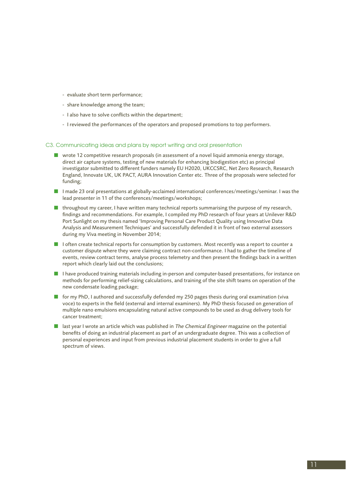- evaluate short term performance;
- share knowledge among the team;
- I also have to solve conflicts within the department;
- I reviewed the performances of the operators and proposed promotions to top performers.

### C3. Communicating ideas and plans by report writing and oral presentation

- $\blacksquare$  wrote 12 competitive research proposals (in assessment of a novel liquid ammonia energy storage, direct air capture systems, testing of new materials for enhancing biodigestion etc) as principal investigator submitted to different funders namely EU H2020, UKCCSRC, Net Zero Research, Research England, Innovate UK, UK PACT, AURA Innovation Center etc. Three of the proposals were selected for funding;
- I made 23 oral presentations at globally-acclaimed international conferences/meetings/seminar. I was the lead presenter in 11 of the conferences/meetings/workshops;
- $\blacksquare$  throughout my career, I have written many technical reports summarising the purpose of my research, findings and recommendations. For example, I compiled my PhD research of four years at Unilever R&D Port Sunlight on my thesis named 'Improving Personal Care Product Quality using Innovative Data Analysis and Measurement Techniques' and successfully defended it in front of two external assessors during my Viva meeting in November 2014;
- **n** I often create technical reports for consumption by customers. Most recently was a report to counter a customer dispute where they were claiming contract non-conformance. I had to gather the timeline of events, review contract terms, analyse process telemetry and then present the findings back in a written report which clearly laid out the conclusions;
- **n** I have produced training materials including in-person and computer-based presentations, for instance on methods for performing relief-sizing calculations, and training of the site shift teams on operation of the new condensate loading package;
- for my PhD, I authored and successfully defended my 250 pages thesis during oral examination (viva voce) to experts in the field (external and internal examiners). My PhD thesis focused on generation of multiple nano emulsions encapsulating natural active compounds to be used as drug delivery tools for cancer treatment;
- **n** last year I wrote an article which was published in *The Chemical Engineer* magazine on the potential benefits of doing an industrial placement as part of an undergraduate degree. This was a collection of personal experiences and input from previous industrial placement students in order to give a full spectrum of views.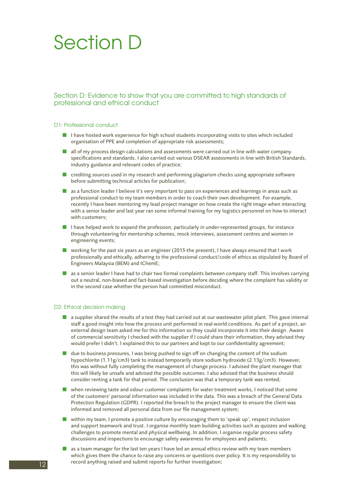Section D: Evidence to show that you are committed to high standards of professional and ethical conduct

#### D1: Professional conduct

- **n** I have hosted work experience for high school students incorporating visits to sites which included organisation of PPE and completion of appropriate risk assessments;
- $\blacksquare$  all of my process design calculations and assessments were carried out in line with water company specifications and standards. I also carried out various DSEAR assessments in line with British Standards, industry guidance and relevant codes of practice;
- n crediting sources used in my research and performing plagiarism checks using appropriate software before submitting technical articles for publication;
- $\blacksquare$  as a function leader I believe it's very important to pass on experiences and learnings in areas such as professional conduct to my team members in order to coach their own development. For example, recently I have been mentoring my lead project manager on how create the right image when interacting with a senior leader and last year ran some informal training for my logistics personnel on how to interact with customers;
- $\blacksquare$  I have helped work to expand the profession, particularly in under-represented groups, for instance through volunteering for mentorship schemes, mock interviews, assessment centres and women in engineering events;
- $\blacksquare$  working for the past six years as an engineer (2015-the present), I have always ensured that I work professionally and ethically, adhering to the professional conduct/code of ethics as stipulated by Board of Engineers Malaysia (BEM) and IChemE;
- as a senior leader I have had to chair two formal complaints between company staff. This involves carrying out a neutral, non-biased and fact-based investigation before deciding where the complaint has validity or in the second case whether the person had committed misconduct.

### D2: Ethical decision making

- n a supplier shared the results of a test they had carried out at our wastewater pilot plant. This gave internal staff a good insight into how the process unit performed in real-world conditions. As part of a project, an external design team asked me for this information so they could incorporate it into their design. Aware of commercial sensitivity I checked with the supplier if I could share their information, they advised they would prefer I didn't. I explained this to our partners and kept to our confidentiality agreement;
- due to business pressures, I was being pushed to sign off on changing the content of the sodium hypochlorite (1.11g/cm3) tank to instead temporarily store sodium hydroxide (2.13g/cm3). However, this was without fully completing the management of change process. I advised the plant manager that this will likely be unsafe and advised the possible outcomes. I also advised that the business should consider renting a tank for that period. The conclusion was that a temporary tank was rented; Section D: Evidence to show that you are committed<br>professional and defined conduct the submit response and submit reports and submit report in the submit report of the submit report of the submit report of the submit rep
	- $\blacksquare$  when reviewing taste and odour customer complaints for water treatment works, I noticed that some of the customers' personal information was included in the data. This was a breach of the General Data Protection Regulation (GDPR). I reported the breach to the project manager to ensure the client was informed and removed all personal data from our file management system;
	- $\blacksquare$  within my team, I promote a positive culture by encouraging them to 'speak up', respect inclusion and support teamwork and trust. I organise monthly team building activities such as quizzes and walking challenges to promote mental and physical wellbeing. In addition, I organise regular process safety discussions and inspections to encourage safety awareness for employees and patients;
	- $\blacksquare$  as a team manager for the last ten years I have led an annual ethics review with my team members which gives them the chance to raise any concerns or questions over policy. It is my responsibility to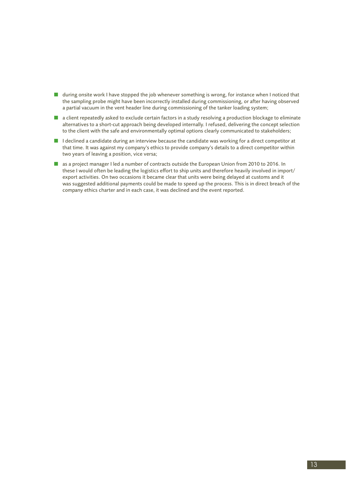- during onsite work I have stopped the job whenever something is wrong, for instance when I noticed that the sampling probe might have been incorrectly installed during commissioning, or after having observed a partial vacuum in the vent header line during commissioning of the tanker loading system;
- a client repeatedly asked to exclude certain factors in a study resolving a production blockage to eliminate alternatives to a short-cut approach being developed internally. I refused, delivering the concept selection to the client with the safe and environmentally optimal options clearly communicated to stakeholders;
- $\blacksquare$  I declined a candidate during an interview because the candidate was working for a direct competitor at that time. It was against my company's ethics to provide company's details to a direct competitor within two years of leaving a position, vice versa;
- n as a project manager I led a number of contracts outside the European Union from 2010 to 2016. In these I would often be leading the logistics effort to ship units and therefore heavily involved in import/ export activities. On two occasions it became clear that units were being delayed at customs and it was suggested additional payments could be made to speed up the process. This is in direct breach of the company ethics charter and in each case, it was declined and the event reported.